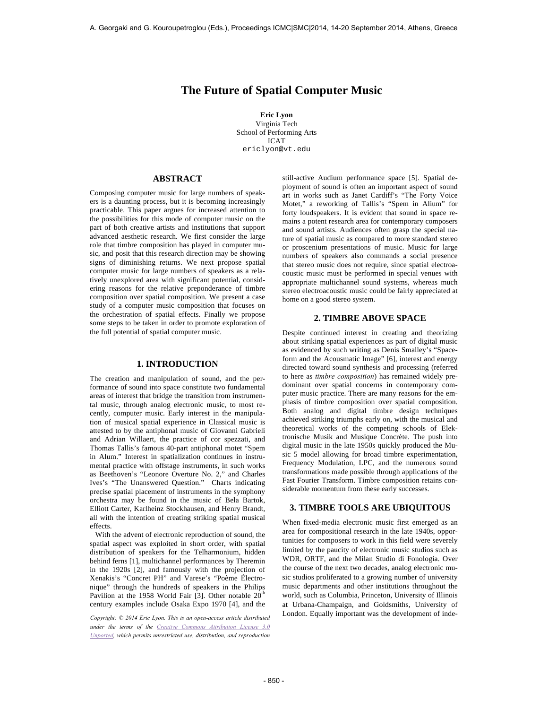# **The Future of Spatial Computer Music**

**Eric Lyon** Virginia Tech School of Performing Arts ICAT ericlyon@vt.edu

### **ABSTRACT**

Composing computer music for large numbers of speakers is a daunting process, but it is becoming increasingly practicable. This paper argues for increased attention to the possibilities for this mode of computer music on the part of both creative artists and institutions that support advanced aesthetic research. We first consider the large role that timbre composition has played in computer music, and posit that this research direction may be showing signs of diminishing returns. We next propose spatial computer music for large numbers of speakers as a relatively unexplored area with significant potential, considering reasons for the relative preponderance of timbre composition over spatial composition. We present a case study of a computer music composition that focuses on the orchestration of spatial effects. Finally we propose some steps to be taken in order to promote exploration of the full potential of spatial computer music.

# **1. INTRODUCTION**

The creation and manipulation of sound, and the performance of sound into space constitute two fundamental areas of interest that bridge the transition from instrumental music, through analog electronic music, to most recently, computer music. Early interest in the manipulation of musical spatial experience in Classical music is attested to by the antiphonal music of Giovanni Gabrieli and Adrian Willaert, the practice of cor spezzati, and Thomas Tallis's famous 40-part antiphonal motet "Spem in Alum." Interest in spatialization continues in instrumental practice with offstage instruments, in such works as Beethoven's "Leonore Overture No. 2," and Charles Ives's "The Unanswered Question." Charts indicating precise spatial placement of instruments in the symphony orchestra may be found in the music of Bela Bartok, Elliott Carter, Karlheinz Stockhausen, and Henry Brandt, all with the intention of creating striking spatial musical effects.

With the advent of electronic reproduction of sound, the spatial aspect was exploited in short order, with spatial distribution of speakers for the Telharmonium, hidden behind ferns [1], multichannel performances by Theremin in the 1920s [2], and famously with the projection of Xenakis's "Concret PH" and Varese's "Poème Électronique" through the hundreds of speakers in the Philips Pavilion at the 1958 World Fair [3]. Other notable  $20^{th}$ century examples include Osaka Expo 1970 [4], and the

*under the terms of the Creative Commons Attribution License 3.0 Unported, which permits unrestricted use, distribution, and reproduction* 

still-active Audium performance space [5]. Spatial deployment of sound is often an important aspect of sound art in works such as Janet Cardiff's "The Forty Voice Motet," a reworking of Tallis's "Spem in Alium" for forty loudspeakers. It is evident that sound in space remains a potent research area for contemporary composers and sound artists. Audiences often grasp the special nature of spatial music as compared to more standard stereo or proscenium presentations of music. Music for large numbers of speakers also commands a social presence that stereo music does not require, since spatial electroacoustic music must be performed in special venues with appropriate multichannel sound systems, whereas much stereo electroacoustic music could be fairly appreciated at home on a good stereo system.

## **2. TIMBRE ABOVE SPACE**

Despite continued interest in creating and theorizing about striking spatial experiences as part of digital music as evidenced by such writing as Denis Smalley's "Spaceform and the Acousmatic Image" [6], interest and energy directed toward sound synthesis and processing (referred to here as *timbre composition*) has remained widely predominant over spatial concerns in contemporary computer music practice. There are many reasons for the emphasis of timbre composition over spatial composition. Both analog and digital timbre design techniques achieved striking triumphs early on, with the musical and theoretical works of the competing schools of Elektronische Musik and Musique Concrète. The push into digital music in the late 1950s quickly produced the Music 5 model allowing for broad timbre experimentation, Frequency Modulation, LPC, and the numerous sound transformations made possible through applications of the Fast Fourier Transform. Timbre composition retains considerable momentum from these early successes.

## **3. TIMBRE TOOLS ARE UBIQUITOUS**

When fixed-media electronic music first emerged as an area for compositional research in the late 1940s, opportunities for composers to work in this field were severely limited by the paucity of electronic music studios such as WDR, ORTF, and the Milan Studio di Fonologia. Over the course of the next two decades, analog electronic music studios proliferated to a growing number of university music departments and other institutions throughout the world, such as Columbia, Princeton, University of Illinois at Urbana-Champaign, and Goldsmiths, University of London. Equally important was the development of inde- *Copyright: © 2014 Eric Lyon. This is an open-access article distributed*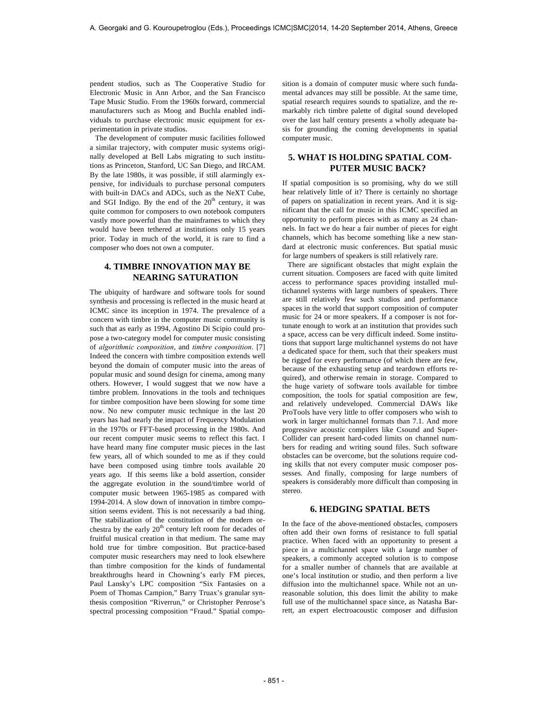pendent studios, such as The Cooperative Studio for Electronic Music in Ann Arbor, and the San Francisco Tape Music Studio. From the 1960s forward, commercial manufacturers such as Moog and Buchla enabled individuals to purchase electronic music equipment for experimentation in private studios.

The development of computer music facilities followed a similar trajectory, with computer music systems originally developed at Bell Labs migrating to such institutions as Princeton, Stanford, UC San Diego, and IRCAM. By the late 1980s, it was possible, if still alarmingly expensive, for individuals to purchase personal computers with built-in DACs and ADCs, such as the NeXT Cube, and SGI Indigo. By the end of the  $20<sup>th</sup>$  century, it was quite common for composers to own notebook computers vastly more powerful than the mainframes to which they would have been tethered at institutions only 15 years prior. Today in much of the world, it is rare to find a composer who does not own a computer.

# **4. TIMBRE INNOVATION MAY BE NEARING SATURATION**

The ubiquity of hardware and software tools for sound synthesis and processing is reflected in the music heard at ICMC since its inception in 1974. The prevalence of a concern with timbre in the computer music community is such that as early as 1994, Agostino Di Scipio could propose a two-category model for computer music consisting of *algorithmic composition*, and *timbre composition*. [7] Indeed the concern with timbre composition extends well beyond the domain of computer music into the areas of popular music and sound design for cinema, among many others. However, I would suggest that we now have a timbre problem. Innovations in the tools and techniques for timbre composition have been slowing for some time now. No new computer music technique in the last 20 years has had nearly the impact of Frequency Modulation in the 1970s or FFT-based processing in the 1980s. And our recent computer music seems to reflect this fact. I have heard many fine computer music pieces in the last few years, all of which sounded to me as if they could have been composed using timbre tools available 20 years ago. If this seems like a bold assertion, consider the aggregate evolution in the sound/timbre world of computer music between 1965-1985 as compared with 1994-2014. A slow down of innovation in timbre composition seems evident. This is not necessarily a bad thing. The stabilization of the constitution of the modern orchestra by the early  $20<sup>th</sup>$  century left room for decades of fruitful musical creation in that medium. The same may hold true for timbre composition. But practice-based computer music researchers may need to look elsewhere than timbre composition for the kinds of fundamental breakthroughs heard in Chowning's early FM pieces, Paul Lansky's LPC composition "Six Fantasies on a Poem of Thomas Campion," Barry Truax's granular synthesis composition "Riverrun," or Christopher Penrose's spectral processing composition "Fraud." Spatial compo-

sition is a domain of computer music where such fundamental advances may still be possible. At the same time, spatial research requires sounds to spatialize, and the remarkably rich timbre palette of digital sound developed over the last half century presents a wholly adequate basis for grounding the coming developments in spatial computer music.

# **5. WHAT IS HOLDING SPATIAL COM-PUTER MUSIC BACK?**

If spatial composition is so promising, why do we still hear relatively little of it? There is certainly no shortage of papers on spatialization in recent years. And it is significant that the call for music in this ICMC specified an opportunity to perform pieces with as many as 24 channels. In fact we do hear a fair number of pieces for eight channels, which has become something like a new standard at electronic music conferences. But spatial music for large numbers of speakers is still relatively rare.

There are significant obstacles that might explain the current situation. Composers are faced with quite limited access to performance spaces providing installed multichannel systems with large numbers of speakers. There are still relatively few such studios and performance spaces in the world that support composition of computer music for 24 or more speakers. If a composer is not fortunate enough to work at an institution that provides such a space, access can be very difficult indeed. Some institutions that support large multichannel systems do not have a dedicated space for them, such that their speakers must be rigged for every performance (of which there are few, because of the exhausting setup and teardown efforts required), and otherwise remain in storage. Compared to the huge variety of software tools available for timbre composition, the tools for spatial composition are few, and relatively undeveloped. Commercial DAWs like ProTools have very little to offer composers who wish to work in larger multichannel formats than 7.1. And more progressive acoustic compilers like Csound and Super-Collider can present hard-coded limits on channel numbers for reading and writing sound files. Such software obstacles can be overcome, but the solutions require coding skills that not every computer music composer possesses. And finally, composing for large numbers of speakers is considerably more difficult than composing in stereo.

### **6. HEDGING SPATIAL BETS**

In the face of the above-mentioned obstacles, composers often add their own forms of resistance to full spatial practice. When faced with an opportunity to present a piece in a multichannel space with a large number of speakers, a commonly accepted solution is to compose for a smaller number of channels that are available at one's local institution or studio, and then perform a live diffusion into the multichannel space. While not an unreasonable solution, this does limit the ability to make full use of the multichannel space since, as Natasha Barrett, an expert electroacoustic composer and diffusion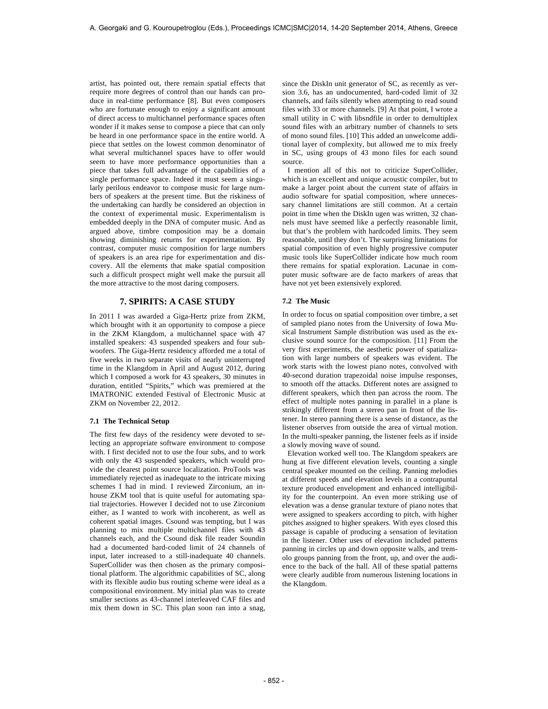artist, has pointed out, there remain spatial effects that require more degrees of control than our hands can produce in real-time performance [8]. But even composers who are fortunate enough to enjoy a significant amount of direct access to multichannel performance spaces often wonder if it makes sense to compose a piece that can only be heard in one performance space in the entire world. A piece that settles on the lowest common denominator of what several multichannel spaces have to offer would seem to have more performance opportunities than a piece that takes full advantage of the capabilities of a single performance space. Indeed it must seem a singularly perilous endeavor to compose music for large numbers of speakers at the present time. But the riskiness of the undertaking can hardly be considered an objection in the context of experimental music. Experimentalism is embedded deeply in the DNA of computer music. And as argued above, timbre composition may be a domain showing diminishing returns for experimentation. By contrast, computer music composition for large numbers of speakers is an area ripe for experimentation and discovery. All the elements that make spatial composition such a difficult prospect might well make the pursuit all the more attractive to the most daring composers.

### **7. SPIRITS: A CASE STUDY**

In 2011 I was awarded a Giga-Hertz prize from ZKM, which brought with it an opportunity to compose a piece in the ZKM Klangdom, a multichannel space with 47 installed speakers: 43 suspended speakers and four subwoofers. The Giga-Hertz residency afforded me a total of five weeks in two separate visits of nearly uninterrupted time in the Klangdom in April and August 2012, during which I composed a work for 43 speakers, 30 minutes in duration, entitled "Spirits," which was premiered at the IMATRONIC extended Festival of Electronic Music at ZKM on November 22, 2012.

#### **7.1 The Technical Setup**

The first few days of the residency were devoted to selecting an appropriate software environment to compose with. I first decided not to use the four subs, and to work with only the 43 suspended speakers, which would provide the clearest point source localization. ProTools was immediately rejected as inadequate to the intricate mixing schemes I had in mind. I reviewed Zirconium, an inhouse ZKM tool that is quite useful for automating spatial trajectories. However I decided not to use Zirconium either, as I wanted to work with incoherent, as well as coherent spatial images. Csound was tempting, but I was planning to mix multiple multichannel files with 43 channels each, and the Csound disk file reader Soundin had a documented hard-coded limit of 24 channels of input, later increased to a still-inadequate 40 channels. SuperCollider was then chosen as the primary compositional platform. The algorithmic capabilities of SC, along with its flexible audio bus routing scheme were ideal as a compositional environment. My initial plan was to create smaller sections as 43-channel interleaved CAF files and mix them down in SC. This plan soon ran into a snag,

since the DiskIn unit generator of SC, as recently as version 3.6, has an undocumented, hard-coded limit of 32 channels, and fails silently when attempting to read sound files with 33 or more channels. [9] At that point, I wrote a small utility in C with libsndfile in order to demultiplex sound files with an arbitrary number of channels to sets of mono sound files. [10] This added an unwelcome additional layer of complexity, but allowed me to mix freely in SC, using groups of 43 mono files for each sound source.

I mention all of this not to criticize SuperCollider, which is an excellent and unique acoustic compiler, but to make a larger point about the current state of affairs in audio software for spatial composition, where unnecessary channel limitations are still common. At a certain point in time when the DiskIn ugen was written, 32 channels must have seemed like a perfectly reasonable limit, but that's the problem with hardcoded limits. They seem reasonable, until they don't. The surprising limitations for spatial composition of even highly progressive computer music tools like SuperCollider indicate how much room there remains for spatial exploration. Lacunae in computer music software are de facto markers of areas that have not yet been extensively explored.

#### **7.2 The Music**

In order to focus on spatial composition over timbre, a set of sampled piano notes from the University of Iowa Musical Instrument Sample distribution was used as the exclusive sound source for the composition. [11] From the very first experiments, the aesthetic power of spatialization with large numbers of speakers was evident. The work starts with the lowest piano notes, convolved with 40-second duration trapezoidal noise impulse responses, to smooth off the attacks. Different notes are assigned to different speakers, which then pan across the room. The effect of multiple notes panning in parallel in a plane is strikingly different from a stereo pan in front of the listener. In stereo panning there is a sense of distance, as the listener observes from outside the area of virtual motion. In the multi-speaker panning, the listener feels as if inside a slowly moving wave of sound.

Elevation worked well too. The Klangdom speakers are hung at five different elevation levels, counting a single central speaker mounted on the ceiling. Panning melodies at different speeds and elevation levels in a contrapuntal texture produced envelopment and enhanced intelligibility for the counterpoint. An even more striking use of elevation was a dense granular texture of piano notes that were assigned to speakers according to pitch, with higher pitches assigned to higher speakers. With eyes closed this passage is capable of producing a sensation of levitation in the listener. Other uses of elevation included patterns panning in circles up and down opposite walls, and tremolo groups panning from the front, up, and over the audience to the back of the hall. All of these spatial patterns were clearly audible from numerous listening locations in the Klangdom.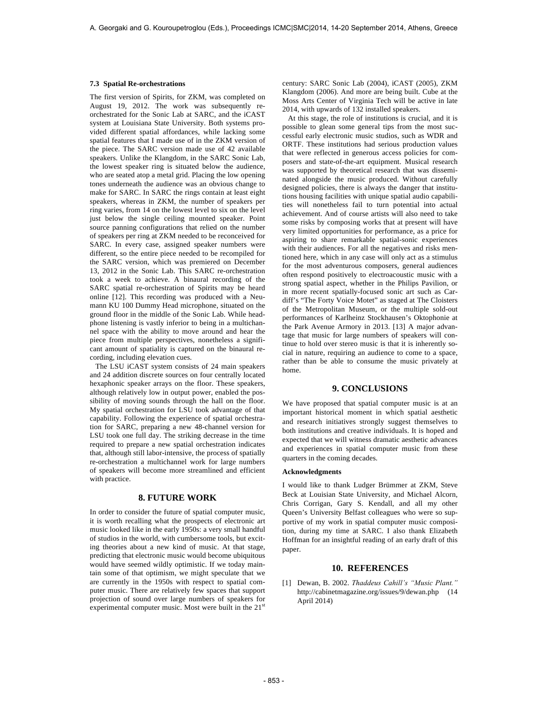#### **7.3 Spatial Re-orchestrations**

The first version of Spirits, for ZKM, was completed on August 19, 2012. The work was subsequently reorchestrated for the Sonic Lab at SARC, and the iCAST system at Louisiana State University. Both systems provided different spatial affordances, while lacking some spatial features that I made use of in the ZKM version of the piece. The SARC version made use of 42 available speakers. Unlike the Klangdom, in the SARC Sonic Lab, the lowest speaker ring is situated below the audience, who are seated atop a metal grid. Placing the low opening tones underneath the audience was an obvious change to make for SARC. In SARC the rings contain at least eight speakers, whereas in ZKM, the number of speakers per ring varies, from 14 on the lowest level to six on the level just below the single ceiling mounted speaker. Point source panning configurations that relied on the number of speakers per ring at ZKM needed to be reconceived for SARC. In every case, assigned speaker numbers were different, so the entire piece needed to be recompiled for the SARC version, which was premiered on December 13, 2012 in the Sonic Lab. This SARC re-orchestration took a week to achieve. A binaural recording of the SARC spatial re-orchestration of Spirits may be heard online [12]. This recording was produced with a Neumann KU 100 Dummy Head microphone, situated on the ground floor in the middle of the Sonic Lab. While headphone listening is vastly inferior to being in a multichannel space with the ability to move around and hear the piece from multiple perspectives, nonetheless a significant amount of spatiality is captured on the binaural recording, including elevation cues.

 The LSU iCAST system consists of 24 main speakers and 24 addition discrete sources on four centrally located hexaphonic speaker arrays on the floor. These speakers, although relatively low in output power, enabled the possibility of moving sounds through the hall on the floor. My spatial orchestration for LSU took advantage of that capability. Following the experience of spatial orchestration for SARC, preparing a new 48-channel version for LSU took one full day. The striking decrease in the time required to prepare a new spatial orchestration indicates that, although still labor-intensive, the process of spatially re-orchestration a multichannel work for large numbers of speakers will become more streamlined and efficient with practice.

### **8. FUTURE WORK**

In order to consider the future of spatial computer music, it is worth recalling what the prospects of electronic art music looked like in the early 1950s: a very small handful of studios in the world, with cumbersome tools, but exciting theories about a new kind of music. At that stage, predicting that electronic music would become ubiquitous would have seemed wildly optimistic. If we today maintain some of that optimism, we might speculate that we are currently in the 1950s with respect to spatial computer music. There are relatively few spaces that support projection of sound over large numbers of speakers for experimental computer music. Most were built in the  $21<sup>st</sup>$ 

century: SARC Sonic Lab (2004), iCAST (2005), ZKM Klangdom (2006). And more are being built. Cube at the Moss Arts Center of Virginia Tech will be active in late 2014, with upwards of 132 installed speakers.

 At this stage, the role of institutions is crucial, and it is possible to glean some general tips from the most successful early electronic music studios, such as WDR and ORTF. These institutions had serious production values that were reflected in generous access policies for composers and state-of-the-art equipment. Musical research was supported by theoretical research that was disseminated alongside the music produced. Without carefully designed policies, there is always the danger that institutions housing facilities with unique spatial audio capabilities will nonetheless fail to turn potential into actual achievement. And of course artists will also need to take some risks by composing works that at present will have very limited opportunities for performance, as a price for aspiring to share remarkable spatial-sonic experiences with their audiences. For all the negatives and risks mentioned here, which in any case will only act as a stimulus for the most adventurous composers, general audiences often respond positively to electroacoustic music with a strong spatial aspect, whether in the Philips Pavilion, or in more recent spatially-focused sonic art such as Cardiff's "The Forty Voice Motet" as staged at The Cloisters of the Metropolitan Museum, or the multiple sold-out performances of Karlheinz Stockhausen's Oktophonie at the Park Avenue Armory in 2013. [13] A major advantage that music for large numbers of speakers will continue to hold over stereo music is that it is inherently social in nature, requiring an audience to come to a space, rather than be able to consume the music privately at home.

# **9. CONCLUSIONS**

We have proposed that spatial computer music is at an important historical moment in which spatial aesthetic and research initiatives strongly suggest themselves to both institutions and creative individuals. It is hoped and expected that we will witness dramatic aesthetic advances and experiences in spatial computer music from these quarters in the coming decades.

#### **Acknowledgments**

I would like to thank Ludger Brümmer at ZKM, Steve Beck at Louisian State University, and Michael Alcorn, Chris Corrigan, Gary S. Kendall, and all my other Queen's University Belfast colleagues who were so supportive of my work in spatial computer music composition, during my time at SARC. I also thank Elizabeth Hoffman for an insightful reading of an early draft of this paper.

## **10. REFERENCES**

[1] Dewan, B. 2002. *Thaddeus Cahill's "Music Plant."* http://cabinetmagazine.org/issues/9/dewan.php (14 April 2014)